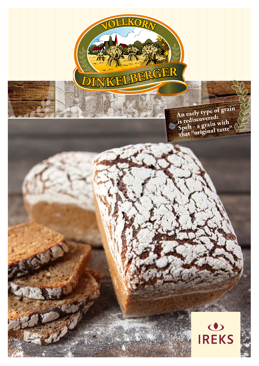